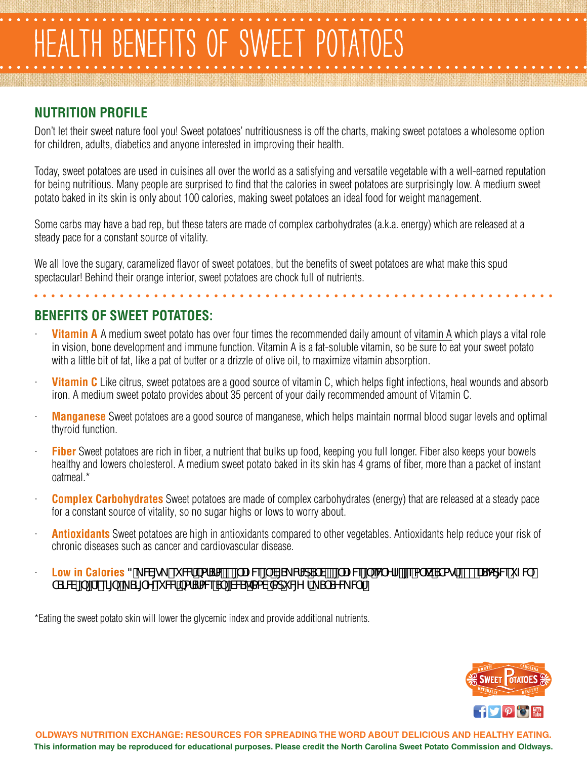## TH BENEFITS OF SWEET POTATO

## **NUTRITION PROFILE**

Don't let their sweet nature fool you! Sweet potatoes' nutritiousness is off the charts, making sweet potatoes a wholesome option for children, adults, diabetics and anyone interested in improving their health.

Today, sweet potatoes are used in cuisines all over the world as a satisfying and versatile vegetable with a well-earned reputation for being nutritious. Many people are surprised to find that the calories in sweet potatoes are surprisingly low. A medium sweet potato baked in its skin is only about 100 calories, making sweet potatoes an ideal food for weight management.

Some carbs may have a bad rep, but these taters are made of complex carbohydrates (a.k.a. energy) which are released at a steady pace for a constant source of vitality.

We all love the sugary, caramelized flavor of sweet potatoes, but the benefits of sweet potatoes are what make this spud spectacular! Behind their orange interior, sweet potatoes are chock full of nutrients.

## **BENEFITS OF SWEET POTATOES:**

- **Vitamin A** A medium sweet potato has over four times the recommended daily amount of [vitamin A](http://www.nlm.nih.gov/medlineplus/ency/article/002400.htm) which plays a vital role in vision, bone development and immune function. Vitamin A is a fat-soluble vitamin, so be sure to eat your sweet potato with a little bit of fat, like a pat of butter or a drizzle of olive oil, to maximize vitamin absorption.
- **Vitamin C** Like citrus, sweet potatoes are a good source of vitamin C, which helps fight infections, heal wounds and absorb iron. A medium sweet potato provides about 35 percent of your daily recommended amount of Vitamin C.
- **Manganese** Sweet potatoes are a good source of manganese, which helps maintain normal blood sugar levels and optimal thyroid function.
- **Fiber** Sweet potatoes are rich in fiber, a nutrient that bulks up food, keeping you full longer. Fiber also keeps your bowels healthy and lowers cholesterol. A medium sweet potato baked in its skin has 4 grams of fiber, more than a packet of instant oatmeal.\*
- · **Complex Carbohydrates** Sweet potatoes are made of complex carbohydrates (energy) that are released at a steady pace for a constant source of vitality, so no sugar highs or lows to worry about.
- **Antioxidants** Sweet potatoes are high in antioxidants compared to other vegetables. Antioxidants help reduce your risk of chronic diseases such as cancer and cardiovascular disease.
- **Low in Calories** 3\_W[g\_ ei Wf/bafSfa/\$ [`UZV&[`V[S\_VfWdS`V'` [`UZV&[`WYfZfi[ea` ^k STagf#"" US<sup>5</sup>aq[V&i ZW TSIW [ [fee] [ I S] Yei WilbafSfaWeS [WSAXaV Xadi What S SYW Wfz

\*Eating the sweet potato skin will lower the glycemic index and provide additional nutrients.